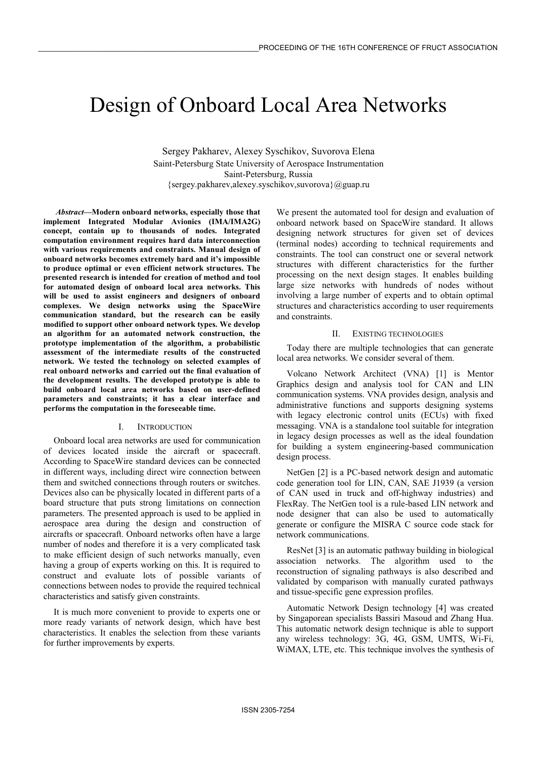# Design of Onboard Local Area Networks

Sergey Pakharev, Alexey Syschikov, Suvorova Elena Saint-Petersburg State University of Aerospace Instrumentation Saint-Petersburg, Russia {sergey.pakharev,alexey.syschikov,suvorova}@guap.ru

*Abstract***—Modern onboard networks, especially those that implement Integrated Modular Avionics (IMA/IMA2G) concept, contain up to thousands of nodes. Integrated computation environment requires hard data interconnection with various requirements and constraints. Manual design of onboard networks becomes extremely hard and it's impossible to produce optimal or even efficient network structures. The presented research is intended for creation of method and tool for automated design of onboard local area networks. This will be used to assist engineers and designers of onboard complexes. We design networks using the SpaceWire communication standard, but the research can be easily modified to support other onboard network types. We develop an algorithm for an automated network construction, the prototype implementation of the algorithm, a probabilistic assessment of the intermediate results of the constructed network. We tested the technology on selected examples of real onboard networks and carried out the final evaluation of the development results. The developed prototype is able to build onboard local area networks based on user-defined parameters and constraints; it has a clear interface and performs the computation in the foreseeable time.** 

#### I. INTRODUCTION

Onboard local area networks are used for communication of devices located inside the aircraft or spacecraft. According to SpaceWire standard devices can be connected in different ways, including direct wire connection between them and switched connections through routers or switches. Devices also can be physically located in different parts of a board structure that puts strong limitations on connection parameters. The presented approach is used to be applied in aerospace area during the design and construction of aircrafts or spacecraft. Onboard networks often have a large number of nodes and therefore it is a very complicated task to make efficient design of such networks manually, even having a group of experts working on this. It is required to construct and evaluate lots of possible variants of connections between nodes to provide the required technical characteristics and satisfy given constraints.

It is much more convenient to provide to experts one or more ready variants of network design, which have best characteristics. It enables the selection from these variants for further improvements by experts.

We present the automated tool for design and evaluation of onboard network based on SpaceWire standard. It allows designing network structures for given set of devices (terminal nodes) according to technical requirements and constraints. The tool can construct one or several network structures with different characteristics for the further processing on the next design stages. It enables building large size networks with hundreds of nodes without involving a large number of experts and to obtain optimal structures and characteristics according to user requirements and constraints.

## II. EXISTING TECHNOLOGIES

Today there are multiple technologies that can generate local area networks. We consider several of them.

Volcano Network Architect (VNA) [1] is Mentor Graphics design and analysis tool for CAN and LIN communication systems. VNA provides design, analysis and administrative functions and supports designing systems with legacy electronic control units (ECUs) with fixed messaging. VNA is a standalone tool suitable for integration in legacy design processes as well as the ideal foundation for building a system engineering-based communication design process.

NetGen [2] is a PC-based network design and automatic code generation tool for LIN, CAN, SAE J1939 (a version of CAN used in truck and off-highway industries) and FlexRay. The NetGen tool is a rule-based LIN network and node designer that can also be used to automatically generate or configure the MISRA C source code stack for network communications.

ResNet [3] is an automatic pathway building in biological association networks. The algorithm used to the reconstruction of signaling pathways is also described and validated by comparison with manually curated pathways and tissue-specific gene expression profiles.

Automatic Network Design technology [4] was created by Singaporean specialists Bassiri Masoud and Zhang Hua. This automatic network design technique is able to support any wireless technology: 3G, 4G, GSM, UMTS, Wi-Fi, WiMAX, LTE, etc. This technique involves the synthesis of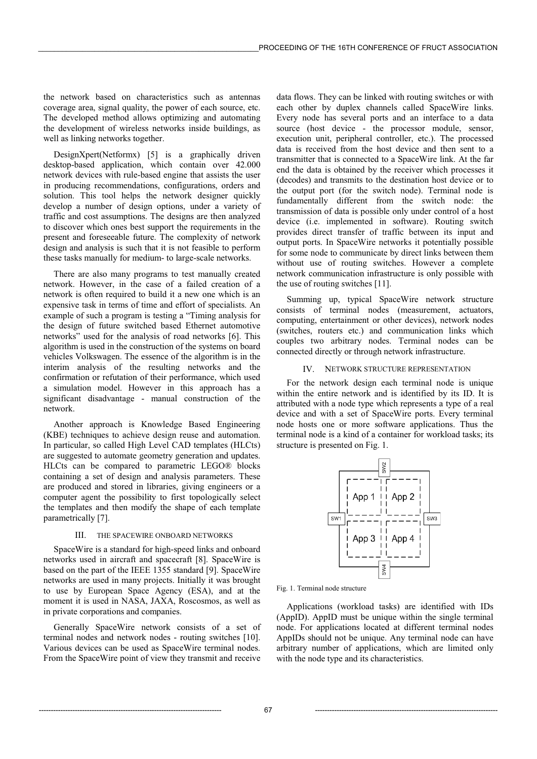the network based on characteristics such as antennas coverage area, signal quality, the power of each source, etc. The developed method allows optimizing and automating the development of wireless networks inside buildings, as well as linking networks together.

DesignXpert(Netformx) [5] is a graphically driven desktop-based application, which contain over 42.000 network devices with rule-based engine that assists the user in producing recommendations, configurations, orders and solution. This tool helps the network designer quickly develop a number of design options, under a variety of traffic and cost assumptions. The designs are then analyzed to discover which ones best support the requirements in the present and foreseeable future. The complexity of network design and analysis is such that it is not feasible to perform these tasks manually for medium- to large-scale networks.

There are also many programs to test manually created network. However, in the case of a failed creation of a network is often required to build it a new one which is an expensive task in terms of time and effort of specialists. An example of such a program is testing a "Timing analysis for the design of future switched based Ethernet automotive networks" used for the analysis of road networks [6]. This algorithm is used in the construction of the systems on board vehicles Volkswagen. The essence of the algorithm is in the interim analysis of the resulting networks and the confirmation or refutation of their performance, which used a simulation model. However in this approach has a significant disadvantage - manual construction of the network.

Another approach is Knowledge Based Engineering (KBE) techniques to achieve design reuse and automation. In particular, so called High Level CAD templates (HLCts) are suggested to automate geometry generation and updates. HLCts can be compared to parametric LEGO® blocks containing a set of design and analysis parameters. These are produced and stored in libraries, giving engineers or a computer agent the possibility to first topologically select the templates and then modify the shape of each template parametrically [7].

### III. THE SPACEWIRE ONBOARD NETWORKS

SpaceWire is a standard for high-speed links and onboard networks used in aircraft and spacecraft [8]. SpaceWire is based on the part of the IEEE 1355 standard [9]. SpaceWire networks are used in many projects. Initially it was brought to use by European Space Agency (ESA), and at the moment it is used in NASA, JAXA, Roscosmos, as well as in private corporations and companies.

Generally SpaceWire network consists of a set of terminal nodes and network nodes - routing switches [10]. Various devices can be used as SpaceWire terminal nodes. From the SpaceWire point of view they transmit and receive

data flows. They can be linked with routing switches or with each other by duplex channels called SpaceWire links. Every node has several ports and an interface to a data source (host device - the processor module, sensor, execution unit, peripheral controller, etc.). The processed data is received from the host device and then sent to a transmitter that is connected to a SpaceWire link. At the far end the data is obtained by the receiver which processes it (decodes) and transmits to the destination host device or to the output port (for the switch node). Terminal node is fundamentally different from the switch node: the transmission of data is possible only under control of a host device (i.e. implemented in software). Routing switch provides direct transfer of traffic between its input and output ports. In SpaceWire networks it potentially possible for some node to communicate by direct links between them without use of routing switches. However a complete network communication infrastructure is only possible with the use of routing switches [11].

Summing up, typical SpaceWire network structure consists of terminal nodes (measurement, actuators, computing, entertainment or other devices), network nodes (switches, routers etc.) and communication links which couples two arbitrary nodes. Terminal nodes can be connected directly or through network infrastructure.

## IV. NETWORK STRUCTURE REPRESENTATION

For the network design each terminal node is unique within the entire network and is identified by its ID. It is attributed with a node type which represents a type of a real device and with a set of SpaceWire ports. Every terminal node hosts one or more software applications. Thus the terminal node is a kind of a container for workload tasks; its structure is presented on Fig. 1.



Fig. 1. Terminal node structure

Applications (workload tasks) are identified with IDs (AppID). AppID must be unique within the single terminal node. For applications located at different terminal nodes AppIDs should not be unique. Any terminal node can have arbitrary number of applications, which are limited only with the node type and its characteristics.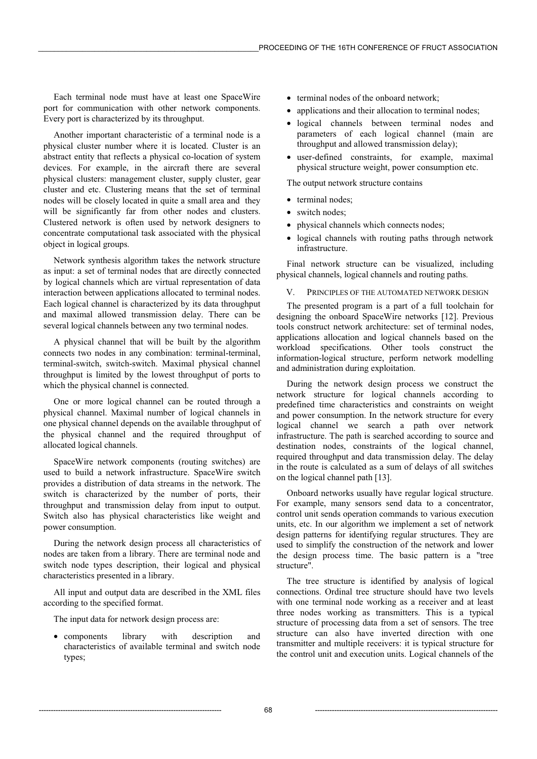Each terminal node must have at least one SpaceWire port for communication with other network components. Every port is characterized by its throughput.

Another important characteristic of a terminal node is a physical cluster number where it is located. Cluster is an abstract entity that reflects a physical co-location of system devices. For example, in the aircraft there are several physical clusters: management cluster, supply cluster, gear cluster and etc. Clustering means that the set of terminal nodes will be closely located in quite a small area and they will be significantly far from other nodes and clusters. Clustered network is often used by network designers to concentrate computational task associated with the physical object in logical groups.

Network synthesis algorithm takes the network structure as input: a set of terminal nodes that are directly connected by logical channels which are virtual representation of data interaction between applications allocated to terminal nodes. Each logical channel is characterized by its data throughput and maximal allowed transmission delay. There can be several logical channels between any two terminal nodes.

A physical channel that will be built by the algorithm connects two nodes in any combination: terminal-terminal, terminal-switch, switch-switch. Maximal physical channel throughput is limited by the lowest throughput of ports to which the physical channel is connected.

One or more logical channel can be routed through a physical channel. Maximal number of logical channels in one physical channel depends on the available throughput of the physical channel and the required throughput of allocated logical channels.

SpaceWire network components (routing switches) are used to build a network infrastructure. SpaceWire switch provides a distribution of data streams in the network. The switch is characterized by the number of ports, their throughput and transmission delay from input to output. Switch also has physical characteristics like weight and power consumption.

During the network design process all characteristics of nodes are taken from a library. There are terminal node and switch node types description, their logical and physical characteristics presented in a library.

All input and output data are described in the XML files according to the specified format.

The input data for network design process are:

• components library with description and characteristics of available terminal and switch node types;

- terminal nodes of the onboard network;
- applications and their allocation to terminal nodes;
- logical channels between terminal nodes and parameters of each logical channel (main are throughput and allowed transmission delay);
- user-defined constraints, for example, maximal physical structure weight, power consumption etc.

The output network structure contains

- terminal nodes;
- switch nodes;
- physical channels which connects nodes;
- logical channels with routing paths through network infrastructure.

Final network structure can be visualized, including physical channels, logical channels and routing paths.

# V. PRINCIPLES OF THE AUTOMATED NETWORK DESIGN

The presented program is a part of a full toolchain for designing the onboard SpaceWire networks [12]. Previous tools construct network architecture: set of terminal nodes, applications allocation and logical channels based on the workload specifications. Other tools construct the information-logical structure, perform network modelling and administration during exploitation.

During the network design process we construct the network structure for logical channels according to predefined time characteristics and constraints on weight and power consumption. In the network structure for every logical channel we search a path over network infrastructure. The path is searched according to source and destination nodes, constraints of the logical channel, required throughput and data transmission delay. The delay in the route is calculated as a sum of delays of all switches on the logical channel path [13].

Onboard networks usually have regular logical structure. For example, many sensors send data to a concentrator, control unit sends operation commands to various execution units, etc. In our algorithm we implement a set of network design patterns for identifying regular structures. They are used to simplify the construction of the network and lower the design process time. The basic pattern is a "tree structure".

The tree structure is identified by analysis of logical connections. Ordinal tree structure should have two levels with one terminal node working as a receiver and at least three nodes working as transmitters. This is a typical structure of processing data from a set of sensors. The tree structure can also have inverted direction with one transmitter and multiple receivers: it is typical structure for the control unit and execution units. Logical channels of the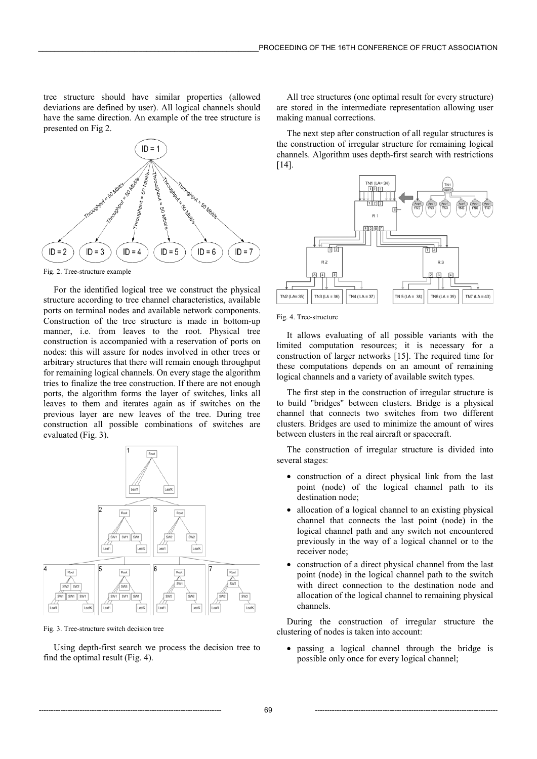tree structure should have similar properties (allowed deviations are defined by user). All logical channels should have the same direction. An example of the tree structure is presented on Fig 2.



Fig. 2. Tree-structure example

For the identified logical tree we construct the physical structure according to tree channel characteristics, available ports on terminal nodes and available network components. Construction of the tree structure is made in bottom-up manner, i.e. from leaves to the root. Physical tree construction is accompanied with a reservation of ports on nodes: this will assure for nodes involved in other trees or arbitrary structures that there will remain enough throughput for remaining logical channels. On every stage the algorithm tries to finalize the tree construction. If there are not enough ports, the algorithm forms the layer of switches, links all leaves to them and iterates again as if switches on the previous layer are new leaves of the tree. During tree construction all possible combinations of switches are evaluated (Fig. 3).



Fig. 3. Tree-structure switch decision tree

Using depth-first search we process the decision tree to find the optimal result (Fig. 4).

All tree structures (one optimal result for every structure) are stored in the intermediate representation allowing user making manual corrections.

The next step after construction of all regular structures is the construction of irregular structure for remaining logical channels. Algorithm uses depth-first search with restrictions [14].



Fig. 4. Tree-structure

It allows evaluating of all possible variants with the limited computation resources; it is necessary for a construction of larger networks [15]. The required time for these computations depends on an amount of remaining logical channels and a variety of available switch types.

The first step in the construction of irregular structure is to build "bridges" between clusters. Bridge is a physical channel that connects two switches from two different clusters. Bridges are used to minimize the amount of wires between clusters in the real aircraft or spacecraft.

The construction of irregular structure is divided into several stages:

- construction of a direct physical link from the last point (node) of the logical channel path to its destination node;
- allocation of a logical channel to an existing physical channel that connects the last point (node) in the logical channel path and any switch not encountered previously in the way of a logical channel or to the receiver node;
- construction of a direct physical channel from the last point (node) in the logical channel path to the switch with direct connection to the destination node and allocation of the logical channel to remaining physical channels.

During the construction of irregular structure the clustering of nodes is taken into account:

• passing a logical channel through the bridge is possible only once for every logical channel;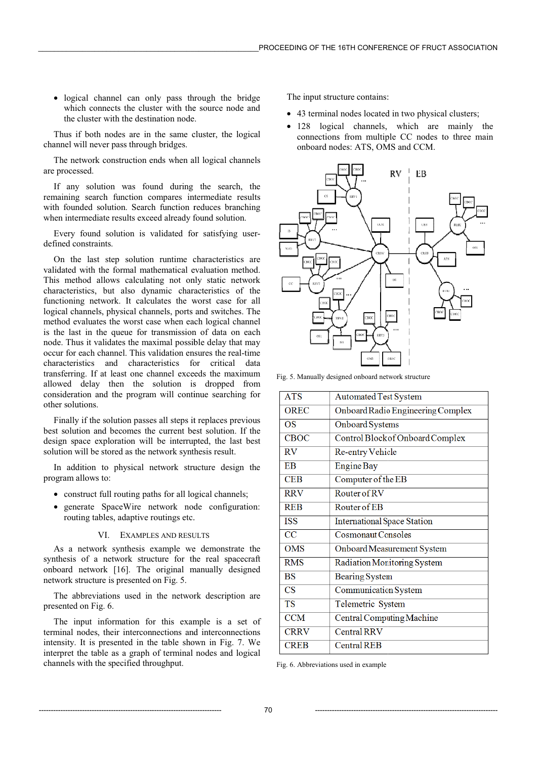• logical channel can only pass through the bridge which connects the cluster with the source node and the cluster with the destination node.

Thus if both nodes are in the same cluster, the logical channel will never pass through bridges.

The network construction ends when all logical channels are processed.

If any solution was found during the search, the remaining search function compares intermediate results with founded solution. Search function reduces branching when intermediate results exceed already found solution.

Every found solution is validated for satisfying userdefined constraints.

On the last step solution runtime characteristics are validated with the formal mathematical evaluation method. This method allows calculating not only static network characteristics, but also dynamic char acteristics of the functioning network. It calculates the worst case for all logical channels, physical channels, ports and switches. The method evaluates the worst case when ea ach logical channel is the last in the queue for transmission of data on each node. Thus it validates the maximal possible delay that may occur for each channel. This validation ensures the real-time characteristics and characteristics for critical data transferring. If at least one channel exceeds the maximum allowed delay then the solution is s dropped from consideration and the program will continue searching for other solutions.

Finally if the solution passes all steps it replaces previous best solution and becomes the current best solution. If the design space exploration will be interrupted, the last best solution will be stored as the network synthesis result.

In addition to physical network structure design the program allows to:

- construct full routing paths for all logical channels;
- generate SpaceWire network nod de configuration: routing tables, adaptive routings etc.

# bles, adaptive routings etc.<br>VI. EXAMPLES AND RESULTS

As a network synthesis example we demonstrate the synthesis of a network structure for the real spacecraft onboard network [16]. The original m manually designed network structure is presented on Fig. 5.

The abbreviations used in the network description are presented on Fig. 6.

The input information for this example is a set of terminal nodes, their interconnections and d interconnections intensity. It is presented in the table shown in Fig. 7. We interpret the table as a graph of terminal nodes and logical channels with the specified throughput.

The input structure contains:

- The input structure contains:<br>• 43 terminal nodes located in two physical clusters;
- 128 logical channels, which are mainly the connections from multiple CC nodes to three main onboard nodes: ATS, OMS and CCM.



Fig. 5. Manually designed onboard network structure

| $\overline{ATS}$       | <b>Automated Test System</b>       |
|------------------------|------------------------------------|
| <b>OREC</b>            | Onboard Radio Engineering Complex  |
| OS                     | Onboard Systems                    |
| <b>CBOC</b>            | Control Block of Onboard Complex   |
| <b>RV</b>              | Re-entry Vehicle                   |
| EB                     | <b>Engine Bay</b>                  |
| <b>CEB</b>             | Computer of the EB                 |
| <b>RRV</b>             | Router of RV                       |
| <b>REB</b>             | Router of EB                       |
| <b>ISS</b>             | <b>International Space Station</b> |
| $\overline{CC}$        | <b>Cosmonaut Consoles</b>          |
| <b>OMS</b>             | Onboard Measurement System         |
| <b>RMS</b>             | Radiation Monitoring System        |
| <b>BS</b>              | Bearing System                     |
| $\overline{\text{CS}}$ | Communication System               |
| $\overline{\text{TS}}$ | Telemetric System                  |
| <b>CCM</b>             | Central Computing Machine          |
| <b>CRRV</b>            | <b>Central RRV</b>                 |
| <b>CREB</b>            | <b>Central REB</b>                 |

Fig. 6. Abbreviations used in example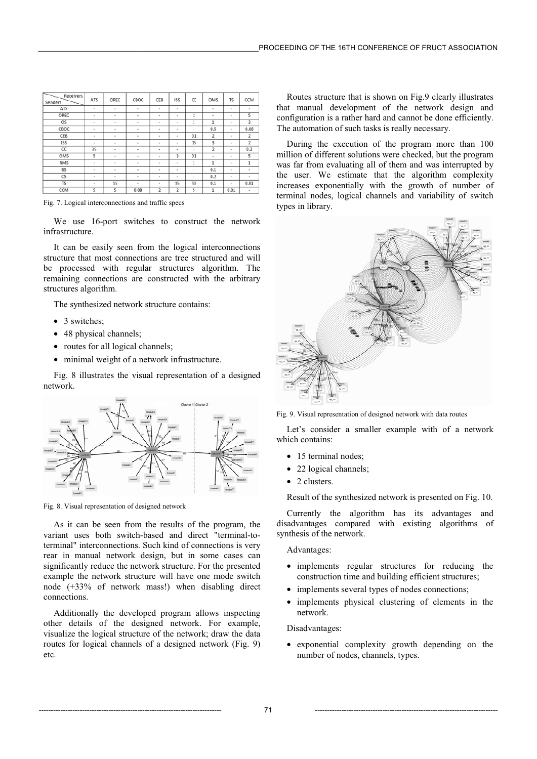| ↽<br>Receivers<br>Senders | ATS                      | OREC                     | CBOC           | CEB                      | <b>ISS</b>               | œ              | OMS                      | TS             | CCM                     |
|---------------------------|--------------------------|--------------------------|----------------|--------------------------|--------------------------|----------------|--------------------------|----------------|-------------------------|
| <b>ATS</b>                | $\blacksquare$           | ٠                        | ٠              | $\blacksquare$           | ٠                        | ٠              | ٠                        | ۰              | ٠                       |
| OREC                      | ۰                        | ٠                        | ٠              | ٠                        | ٠                        | $\overline{2}$ | ٠                        | ٠              | 5                       |
| OS                        | $\blacksquare$           | ٠                        | $\blacksquare$ | $\blacksquare$           | ٠                        | 1              | 1                        | ۰              | 3                       |
| CBOC                      | $\alpha$                 | ٠                        | $\alpha$       | $\sim$                   | $\sim$                   | $\alpha$       | 0.5                      | ٠              | 0.08                    |
| CEB                       | $\sim$                   | $\alpha$                 | ٠              | $\overline{\phantom{a}}$ | $\sim$                   | 0.1            | $\overline{2}$           | $\alpha$       | $\overline{\mathbf{2}}$ |
| <b>ISS</b>                | ۰                        | $\blacksquare$           | ۰              | $\overline{\phantom{a}}$ | $\overline{\phantom{a}}$ | 15             | 3                        | $\blacksquare$ | $\overline{2}$          |
| CC                        | 35                       | $\overline{\phantom{a}}$ | ٠              | $\overline{\phantom{a}}$ | $\sim$                   | ٠              | $\overline{2}$           | ۰              | 0.2                     |
| OMS                       | 5                        | $\sim$                   | $\sim$         | $\blacksquare$           | 3                        | 0.1            | $\overline{\phantom{a}}$ | ٠              | 5                       |
| <b>RMS</b>                | $\;$                     | ٠                        | ٠              | $\blacksquare$           | $\sim$                   | 1              | $\mathbf{1}$             | $\blacksquare$ | 1                       |
| <b>BS</b>                 | ٠                        | $\blacksquare$           | ٠              | $\blacksquare$           | $\sim$                   | ٠              | 0.1                      | ٠              | ٠                       |
| CS                        | $\overline{\phantom{a}}$ | ٠                        | ٠              | ٠                        | $\sim$                   | ٠              | 0.2                      | ٠              | $\sim$                  |
| <b>TS</b>                 | $\;$                     | 15                       | $\blacksquare$ | $\blacksquare$           | 15                       | 50             | 0.1                      | $\blacksquare$ | 0.01                    |
| CCM                       | ς                        | $\overline{\phantom{a}}$ | 0.08           | $\overline{ }$           | 2                        | ٩              |                          | 0.01           | $\sim$                  |

Fig. 7. Logical interconnections and traffic specs

We use 16-port switches to construct the network infrastructure.

It can be easily seen from the logical interconnections structure that most connections are tree s structured and will be processed with regular structures algorithm. The remaining connections are constructed with the arbitrary structures algorithm.

The synthesized network structure cont ains:

- 3 switches:
- 48 physical channels:
- routes for all logical channels;
- minimal weight of a network infrastructure.

Fig. 8 illustrates the visual representation of a designed network.



Fig. 8. Visual representation of designed network

As it can be seen from the results of the program, the variant uses both switch-based and direct "terminal-toterminal" interconnections. Such kind of connections is very rear in manual network design, but in n some cases can significantly reduce the network structure. . For the presented example the network structure will have one mode switch node (+33% of network mass!) when n disabling direct connections.

Additionally the developed program allows inspecting other details of the designed network. For example, visualize the logical structure of the network; draw the data routes for logical channels of a designed network (Fig. 9) etc.

Routes structure that is shown on Fig.9 clearly illustrates that manual development of the network design and configuration is a rather hard and cannot be done efficiently. The automation of such tasks is really necessary.

During the execution of th he program more than 100 million of different solutions w were checked, but the program was far from evaluating all of them and was interrupted by the user. We estimate that the algorithm complexity increases exponentially with the growth of number of terminal nodes, logical channels and variability of switch types in library.



Fig. 9. Visual representation of designed network with data routes

Let's consider a smaller example with of a network which contains:

- 15 terminal nodes:
- 22 logical channels;
- 2 clusters.

Result of the synthesized network is presented on Fig. 10.

Currently the algorithm has its advantages and disadvantages compared with existing algorithms of synthesis of the network.

Advantages:

- implements regular structures for reducing the construction time and building efficient structures;
- implements several types of nodes connections;
- implements physical clustering of elements in the network.

# Disadvantages:

• exponential complexity growth depending on the number of nodes, channels, types.